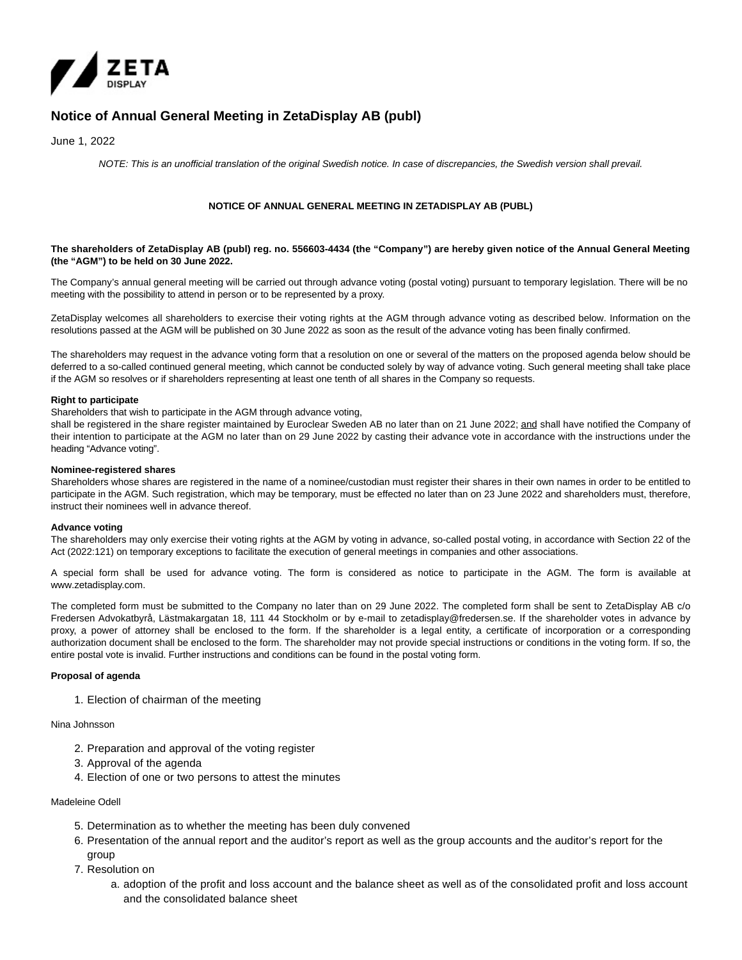

# **Notice of Annual General Meeting in ZetaDisplay AB (publ)**

June 1, 2022

NOTE: This is an unofficial translation of the original Swedish notice. In case of discrepancies, the Swedish version shall prevail.

# **NOTICE OF ANNUAL GENERAL MEETING IN ZETADISPLAY AB (PUBL)**

# **The shareholders of ZetaDisplay AB (publ) reg. no. 556603-4434 (the "Company") are hereby given notice of the Annual General Meeting (the "AGM") to be held on 30 June 2022.**

The Company's annual general meeting will be carried out through advance voting (postal voting) pursuant to temporary legislation. There will be no meeting with the possibility to attend in person or to be represented by a proxy.

ZetaDisplay welcomes all shareholders to exercise their voting rights at the AGM through advance voting as described below. Information on the resolutions passed at the AGM will be published on 30 June 2022 as soon as the result of the advance voting has been finally confirmed.

The shareholders may request in the advance voting form that a resolution on one or several of the matters on the proposed agenda below should be deferred to a so-called continued general meeting, which cannot be conducted solely by way of advance voting. Such general meeting shall take place if the AGM so resolves or if shareholders representing at least one tenth of all shares in the Company so requests.

## **Right to participate**

Shareholders that wish to participate in the AGM through advance voting,

shall be registered in the share register maintained by Euroclear Sweden AB no later than on 21 June 2022; and shall have notified the Company of their intention to participate at the AGM no later than on 29 June 2022 by casting their advance vote in accordance with the instructions under the heading "Advance voting".

## **Nominee-registered shares**

Shareholders whose shares are registered in the name of a nominee/custodian must register their shares in their own names in order to be entitled to participate in the AGM. Such registration, which may be temporary, must be effected no later than on 23 June 2022 and shareholders must, therefore, instruct their nominees well in advance thereof.

# **Advance voting**

The shareholders may only exercise their voting rights at the AGM by voting in advance, so-called postal voting, in accordance with Section 22 of the Act (2022:121) on temporary exceptions to facilitate the execution of general meetings in companies and other associations.

A special form shall be used for advance voting. The form is considered as notice to participate in the AGM. The form is available at www.zetadisplay.com.

The completed form must be submitted to the Company no later than on 29 June 2022. The completed form shall be sent to ZetaDisplay AB c/o Fredersen Advokatbyrå, Lästmakargatan 18, 111 44 Stockholm or by e-mail to zetadisplay@fredersen.se. If the shareholder votes in advance by proxy, a power of attorney shall be enclosed to the form. If the shareholder is a legal entity, a certificate of incorporation or a corresponding authorization document shall be enclosed to the form. The shareholder may not provide special instructions or conditions in the voting form. If so, the entire postal vote is invalid. Further instructions and conditions can be found in the postal voting form.

# **Proposal of agenda**

1. Election of chairman of the meeting

Nina Johnsson

- 2. Preparation and approval of the voting register
- 3. Approval of the agenda
- 4. Election of one or two persons to attest the minutes

# Madeleine Odell

- 5. Determination as to whether the meeting has been duly convened
- 6. Presentation of the annual report and the auditor's report as well as the group accounts and the auditor's report for the group
- 7. Resolution on
	- a. adoption of the profit and loss account and the balance sheet as well as of the consolidated profit and loss account and the consolidated balance sheet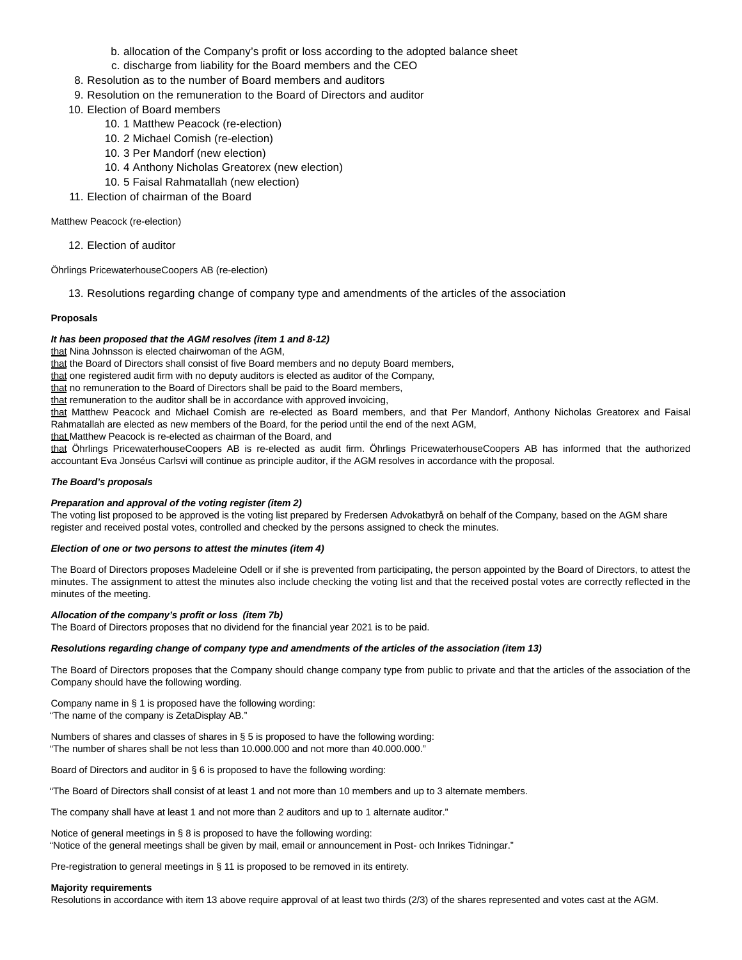- b. allocation of the Company's profit or loss according to the adopted balance sheet
- c. discharge from liability for the Board members and the CEO
- 8. Resolution as to the number of Board members and auditors
- 9. Resolution on the remuneration to the Board of Directors and auditor
- 10. Election of Board members
	- 10. 1 Matthew Peacock (re-election)
	- 10. 2 Michael Comish (re-election)
	- 10. 3 Per Mandorf (new election)
	- 10. 4 Anthony Nicholas Greatorex (new election)
	- 10. 5 Faisal Rahmatallah (new election)
- 11. Election of chairman of the Board

Matthew Peacock (re-election)

12. Election of auditor

Öhrlings PricewaterhouseCoopers AB (re-election)

13. Resolutions regarding change of company type and amendments of the articles of the association

# **Proposals**

# **It has been proposed that the AGM resolves (item 1 and 8-12)**

that Nina Johnsson is elected chairwoman of the AGM,

that the Board of Directors shall consist of five Board members and no deputy Board members,

that one registered audit firm with no deputy auditors is elected as auditor of the Company,

that no remuneration to the Board of Directors shall be paid to the Board members,

that remuneration to the auditor shall be in accordance with approved invoicing,

that Matthew Peacock and Michael Comish are re-elected as Board members, and that Per Mandorf, Anthony Nicholas Greatorex and Faisal Rahmatallah are elected as new members of the Board, for the period until the end of the next AGM,

that Matthew Peacock is re-elected as chairman of the Board, and

that Öhrlings PricewaterhouseCoopers AB is re-elected as audit firm. Öhrlings PricewaterhouseCoopers AB has informed that the authorized accountant Eva Jonséus Carlsvi will continue as principle auditor, if the AGM resolves in accordance with the proposal.

#### **The Board's proposals**

#### **Preparation and approval of the voting register (item 2)**

The voting list proposed to be approved is the voting list prepared by Fredersen Advokatbyrå on behalf of the Company, based on the AGM share register and received postal votes, controlled and checked by the persons assigned to check the minutes.

#### **Election of one or two persons to attest the minutes (item 4)**

The Board of Directors proposes Madeleine Odell or if she is prevented from participating, the person appointed by the Board of Directors, to attest the minutes. The assignment to attest the minutes also include checking the voting list and that the received postal votes are correctly reflected in the minutes of the meeting.

# **Allocation of the company's profit or loss (item 7b)**

The Board of Directors proposes that no dividend for the financial year 2021 is to be paid.

## **Resolutions regarding change of company type and amendments of the articles of the association (item 13)**

The Board of Directors proposes that the Company should change company type from public to private and that the articles of the association of the Company should have the following wording.

Company name in § 1 is proposed have the following wording: "The name of the company is ZetaDisplay AB."

Numbers of shares and classes of shares in § 5 is proposed to have the following wording: "The number of shares shall be not less than 10.000.000 and not more than 40.000.000."

Board of Directors and auditor in § 6 is proposed to have the following wording:

"The Board of Directors shall consist of at least 1 and not more than 10 members and up to 3 alternate members.

The company shall have at least 1 and not more than 2 auditors and up to 1 alternate auditor."

Notice of general meetings in § 8 is proposed to have the following wording: "Notice of the general meetings shall be given by mail, email or announcement in Post- och Inrikes Tidningar."

Pre-registration to general meetings in § 11 is proposed to be removed in its entirety.

#### **Majority requirements**

Resolutions in accordance with item 13 above require approval of at least two thirds (2/3) of the shares represented and votes cast at the AGM.